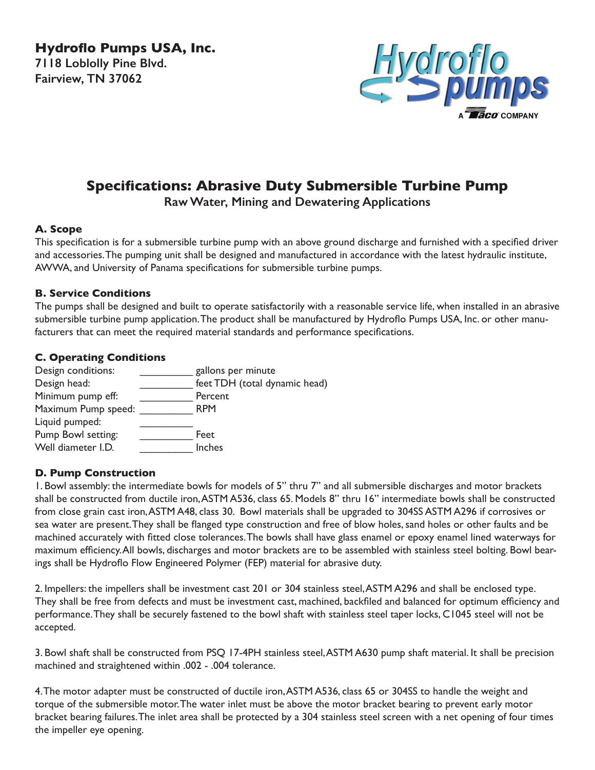**Hydroflo Pumps USA, Inc. 7118 Loblolly Pine Blvd. Fairview, TN 37062**



# **Specifications: Abrasive Duty Submersible Turbine Pump**

**Raw Water, Mining and Dewatering Applications**

# **A. Scope**

This specification is for a submersible turbine pump with an above ground discharge and furnished with a specified driver and accessories. The pumping unit shall be designed and manufactured in accordance with the latest hydraulic institute, AWWA, and University of Panama specifications for submersible turbine pumps.

#### **B. Service Conditions**

The pumps shall be designed and built to operate satisfactorily with a reasonable service life, when installed in an abrasive submersible turbine pump application. The product shall be manufactured by Hydroflo Pumps USA, Inc. or other manufacturers that can meet the required material standards and performance specifications.

# **C. Operating Conditions**

| Design conditions:  | gallons per minute            |
|---------------------|-------------------------------|
| Design head:        | feet TDH (total dynamic head) |
| Minimum pump eff:   | Percent                       |
| Maximum Pump speed: | <b>RPM</b>                    |
| Liquid pumped:      |                               |
| Pump Bowl setting:  | Feet                          |
| Well diameter I.D.  | Inches                        |

# **D. Pump Construction**

1. Bowl assembly: the intermediate bowls for models of 5" thru 7" and all submersible discharges and motor brackets shall be constructed from ductile iron, ASTM A536, class 65. Models 8" thru 16" intermediate bowls shall be constructed from close grain cast iron, ASTM A48, class 30. Bowl materials shall be upgraded to 304SS ASTM A296 if corrosives or sea water are present. They shall be flanged type construction and free of blow holes, sand holes or other faults and be machined accurately with fitted close tolerances. The bowls shall have glass enamel or epoxy enamel lined waterways for maximum efficiency. All bowls, discharges and motor brackets are to be assembled with stainless steel bolting. Bowl bearings shall be Hydroflo Flow Engineered Polymer (FEP) material for abrasive duty.

2. Impellers: the impellers shall be investment cast 201 or 304 stainless steel, ASTM A296 and shall be enclosed type. They shall be free from defects and must be investment cast, machined, backfiled and balanced for optimum efficiency and performance. They shall be securely fastened to the bowl shaft with stainless steel taper locks, C1045 steel will not be accepted.

3. Bowl shaft shall be constructed from PSQ 17-4PH stainless steel, ASTM A630 pump shaft material. It shall be precision machined and straightened within .002 - .004 tolerance.

4. The motor adapter must be constructed of ductile iron, ASTM A536, class 65 or 304SS to handle the weight and torque of the submersible motor. The water inlet must be above the motor bracket bearing to prevent early motor bracket bearing failures. The inlet area shall be protected by a 304 stainless steel screen with a net opening of four times the impeller eye opening.